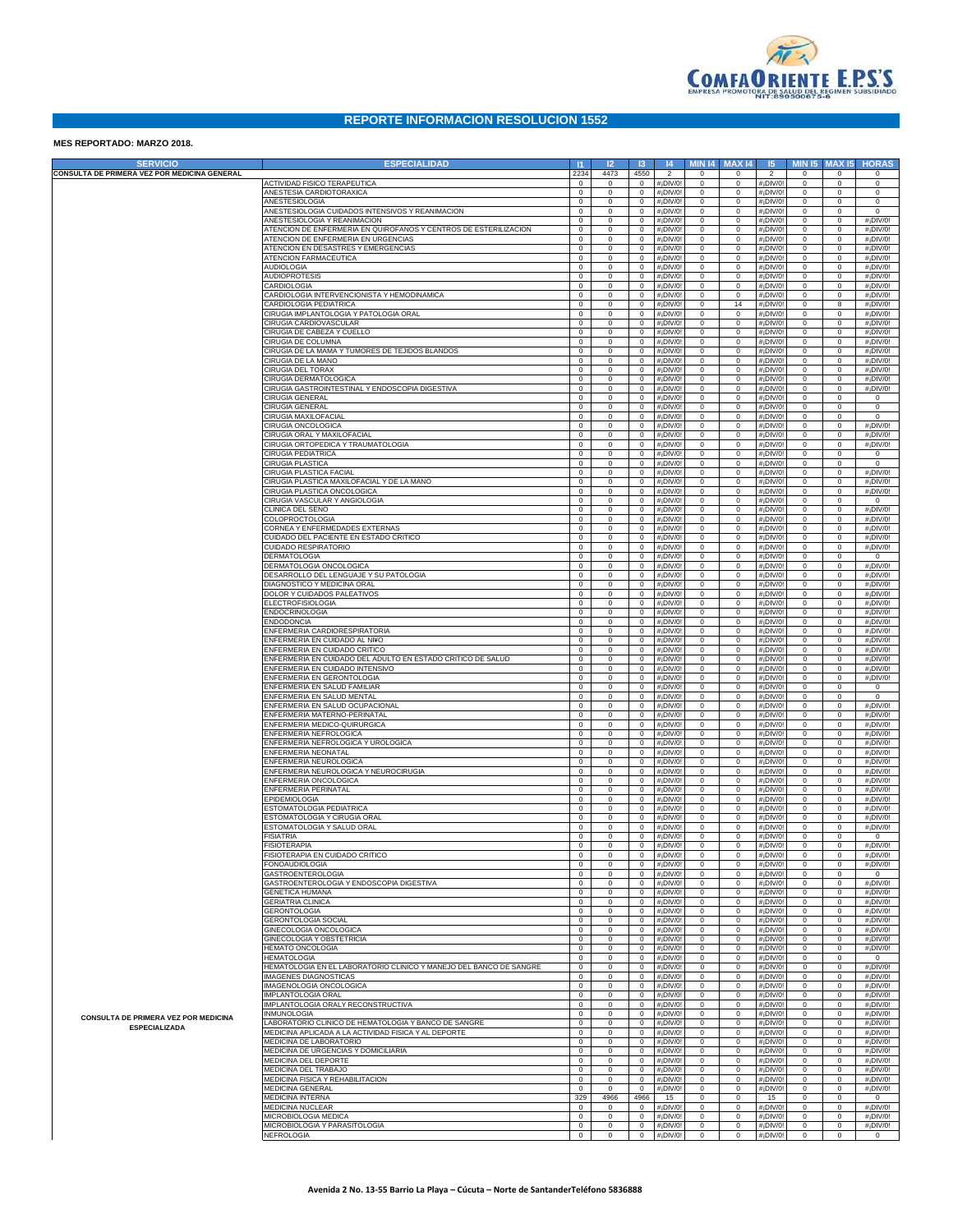

## **REPORTE INFORMACION RESOLUCION 1552**

## **MES REPORTADO: MARZO 2018.**

| <b>SERVICIO</b>                              | <b>ESPECIALIDAD</b>                                                                                         | -11                        | 12                         | $\mathbf{R}$               | 4                  | <b>MIN 14</b>              | <b>MAX14</b>               | 15                                                 | <b>MIN 15</b>              | <b>MAX15</b>               | <b>HORAS</b>                                       |
|----------------------------------------------|-------------------------------------------------------------------------------------------------------------|----------------------------|----------------------------|----------------------------|--------------------|----------------------------|----------------------------|----------------------------------------------------|----------------------------|----------------------------|----------------------------------------------------|
| CONSULTA DE PRIMERA VEZ POR MEDICINA GENERAL |                                                                                                             | 2234                       | 4473                       | 4550                       | $\overline{2}$     | $\mathsf 0$                | $\mathbf 0$                | $\overline{2}$                                     | $\mathbf 0$                | $\mathbf 0$                | $\Omega$                                           |
|                                              | ACTIVIDAD FISICO TERAPEUTICA<br>ANESTESIA CARDIOTORAXICA                                                    | $\mathbf 0$<br>$\mathbf 0$ | $\mathbf 0$<br>$\mathbf 0$ | $\mathbf 0$<br>$\mathbf 0$ | #¡DIV/0<br>#¡DIV/0 | $\mathbf 0$<br>$\mathbb O$ | $\mathbf 0$<br>$\mathbf 0$ | #¡DIV/0<br>#¡DIV/0                                 | $\mathbf 0$<br>$\mathbf 0$ | $\mathbf 0$<br>$\mathbf 0$ | $\mathsf{O}$<br>$\mathsf 0$                        |
|                                              | ANESTESIOLOGIA                                                                                              | $\mathbf 0$                | $\mathbf 0$                | $\mathbf 0$                | #¡DIV/0            | $\mathbb O$                | $\mathbb O$                | #¡DIV/0                                            | $\mathsf 0$                | $\mathbf 0$                | $\mathsf 0$                                        |
|                                              | ANESTESIOLOGIA CUIDADOS INTENSIVOS Y REANIMACION                                                            | $\mathbf 0$                | $\mathbf 0$                | $\mathbf 0$                | #¡DIV/0            | $\mathbf 0$                | $\mathbb O$                | #¡DIV/0                                            | $\mathsf 0$                | $\mathbf 0$                | $\mathbf 0$                                        |
|                                              | ANESTESIOLOGIA Y REANIMACION<br><b>ITENCION DE ENFERMERIA EN QUIROFANOS Y CENTROS DE ESTERILIZACION</b>     | $\mathbf 0$<br>$\mathbf 0$ | $\mathbf 0$<br>$\mathbf 0$ | $\mathbf 0$<br>$\mathbf 0$ | #¡DIV/0<br>#¡DIV/0 | $\mathbb O$<br>$\mathbb O$ | $\mathsf 0$<br>$\mathsf 0$ | #¡DIV/0<br>#¡DIV/0                                 | 0<br>0                     | $\mathbf 0$<br>$\mathbf 0$ | #¡DIV/0!<br>#¡DIV/0!                               |
|                                              | <b>ITENCION DE ENFERMERIA EN URGENCIAS</b>                                                                  | $\mathbf 0$                | $\mathbf 0$                | $\mathbf 0$                | #¡DIV/0            | $\mathbb O$                | $\mathbb O$                | #¡DIV/0                                            | $\mathsf 0$                | $\mathbf 0$                | #¡DIV/0!                                           |
|                                              | <b>ITENCION EN DESASTRES Y EMERGENCIAS</b>                                                                  | $\mathbf 0$                | $\mathbf 0$                | $\mathbf 0$                | #¡DIV/0            | $\mathbf 0$                | $\mathbb O$                | #¡DIV/0                                            | $\mathsf 0$                | $\mathbf 0$                | #¡DIV/0!                                           |
|                                              | <b>ATENCION FARMACEUTICA</b><br><b>AUDIOLOGIA</b>                                                           | $\mathbf 0$<br>$\mathbf 0$ | $\mathbf 0$<br>$\mathbf 0$ | $\mathbf 0$<br>$\mathbf 0$ | #¡DIV/0<br>#¡DIV/0 | $\mathbf 0$<br>$\mathbb O$ | $\mathbf 0$<br>$\mathbf 0$ | #¡DIV/0<br>#¡DIV/0                                 | $\mathsf 0$<br>$\mathsf 0$ | $\mathbf 0$<br>$\mathbf 0$ | #¡DIV/0!<br>#¡DIV/0!                               |
|                                              | <b>AUDIOPROTESIS</b>                                                                                        | $\mathbf 0$                | $\mathbf 0$                | $\mathbf 0$                | #¡DIV/0            | $\mathbb O$                | $\mathsf 0$                | #¡DIV/0                                            | $\mathsf 0$                | $\mathbf 0$                | #¡DIV/0!                                           |
|                                              | CARDIOLOGIA                                                                                                 | $\mathbf 0$                | $\mathbf 0$                | $\mathbf 0$                | #¡DIV/0            | $\mathbb O$                | $\mathbb O$                | #¡DIV/0                                            | $\mathsf 0$                | $\mathbf 0$                | #¡DIV/0!                                           |
|                                              | CARDIOLOGIA INTERVENCIONISTA Y HEMODINAMICA                                                                 | $\mathbf 0$                | $\mathbf 0$                | $\mathbf 0$                | #¡DIV/0            | $\mathbf 0$                | $\mathbb O$                | #¡DIV/0                                            | $\mathsf 0$                | $\mathbf 0$                | #¡DIV/0!                                           |
|                                              | CARDIOLOGIA PEDIATRICA<br>CIRUGIA IMPLANTOLOGIA Y PATOLOGIA ORAL                                            | $\mathbf 0$<br>$\mathbf 0$ | $\mathbf 0$<br>$\mathbf 0$ | $\mathbf 0$<br>$\mathbf 0$ | #¡DIV/0<br>#¡DIV/0 | $\mathbf 0$<br>$\mathbb O$ | 14<br>$\mathbb O$          | #¡DIV/0<br>#¡DIV/0                                 | $\mathbf 0$<br>$\mathbf 0$ | 8<br>$\mathbf 0$           | #¡DIV/0!<br>#¡DIV/0!                               |
|                                              | CIRUGIA CARDIOVASCULAR                                                                                      | $\mathbf 0$                | $\mathbf 0$                | $\mathbf 0$                | #¡DIV/0            | $\mathbb O$                | $\mathbf 0$                | #¡DIV/0                                            | $\mathbf 0$                | $\mathbf 0$                | #¡DIV/0!                                           |
|                                              | CIRUGIA DE CABEZA Y CUELLO                                                                                  | $\mathbf 0$                | $\mathbf 0$                | $\mathbf 0$                | #¡DIV/0            | $\mathbf 0$                | $\mathbf 0$                | #¡DIV/0                                            | $\mathbf 0$                | $\mathbf 0$                | #¡DIV/0!                                           |
|                                              | CIRUGIA DE COLUMNA<br>CIRUGIA DE LA MAMA Y TUMORES DE TEJIDOS BLANDOS                                       | $\mathbf 0$<br>$\mathbf 0$ | $\mathbf 0$<br>$\mathbf 0$ | $\mathbf 0$<br>$\mathbf 0$ | #¡DIV/0<br>#¡DIV/0 | $\mathbf 0$<br>$\mathbf 0$ | $\mathbb O$<br>$\mathbf 0$ | #¡DIV/0<br>#¡DIV/0                                 | $\mathbf 0$<br>$\mathbf 0$ | $\mathbf 0$<br>$\mathbf 0$ | #¡DIV/0!<br>#¡DIV/0!                               |
|                                              | CIRUGIA DE LA MANO                                                                                          | $\mathbf 0$                | $\mathbf 0$                | $\mathbf 0$                | #¡DIV/0            | $\mathbb O$                | $\mathbf 0$                | #¡DIV/0                                            | $\mathbf 0$                | $\mathbf 0$                | #¡DIV/0!                                           |
|                                              | <b>CIRUGIA DEL TORAX</b><br>CIRUGIA DERMATOLOGICA                                                           | $\mathbf 0$                | $\mathbf 0$                | $\mathbf 0$                | #¡DIV/0            | $\mathbb O$                | $\mathbb O$                | #¡DIV/0                                            | $\mathbf 0$                | $\mathbf 0$                | #¡DIV/0!                                           |
|                                              | CIRUGIA GASTROINTESTINAL Y ENDOSCOPIA DIGESTIVA                                                             | $\mathbf 0$<br>$\mathbf 0$ | $\mathbf 0$<br>$\mathbf 0$ | $\mathbf 0$<br>$\mathbf 0$ | #¡DIV/0<br>#¡DIV/0 | $\mathbb O$<br>$\mathbf 0$ | $\mathbf 0$<br>$\mathbb O$ | #¡DIV/0<br>#¡DIV/0                                 | $\mathsf 0$<br>$\mathsf 0$ | $\mathbf 0$<br>$\mathbf 0$ | #¡DIV/0!<br>#¡DIV/0!                               |
|                                              | CIRUGIA GENERAL                                                                                             | $\mathbf 0$                | $\mathbf 0$                | $\mathbf 0$                | #¡DIV/0            | $\mathbf 0$                | $\mathbf 0$                | #¡DIV/0                                            | $\mathsf 0$                | $\mathbf 0$                | $\mathbf 0$                                        |
|                                              | CIRUGIA GENERAI                                                                                             | $\mathbf 0$                | $\mathbf 0$                | $\mathbf 0$                | #¡DIV/0            | $\mathbb O$                | $\mathbf 0$                | #¡DIV/0                                            | $\mathsf 0$                | $\mathbf 0$                | $\mathsf 0$                                        |
|                                              | CIRUGIA MAXILOFACIAL<br>CIRUGIA ONCOLOGICA                                                                  | $\mathbf 0$<br>$\mathbf 0$ | $\mathbf 0$<br>$\mathbf 0$ | $\mathbf 0$<br>$\mathbf 0$ | #¡DIV/0<br>#¡DIV/0 | $\mathbb O$<br>$\mathbb O$ | $\mathsf 0$<br>$\mathbf 0$ | #¡DIV/0<br>#¡DIV/0                                 | 0<br>$\mathsf 0$           | $\mathbf 0$<br>$\mathbf 0$ | $\mathsf 0$<br>#¡DIV/0!                            |
|                                              | CIRUGIA ORAL Y MAXILOFACIAL                                                                                 | $\mathbf 0$                | $\mathbf 0$                | $\mathbf 0$                | #¡DIV/0            | $\mathbf 0$                | $\mathbb O$                | #¡DIV/0                                            | $\mathsf 0$                | $\mathbf 0$                | #¡DIV/0!                                           |
|                                              | CIRUGIA ORTOPEDICA Y TRAUMATOLOGIA                                                                          | $\mathbf 0$                | $\mathbf 0$                | $\mathbf 0$                | #¡DIV/0            | $\mathbf 0$                | $\mathbf 0$                | #¡DIV/0                                            | $\mathsf 0$                | $\mathbf 0$                | #¡DIV/0!                                           |
|                                              | <b>CIRUGIA PEDIATRICA</b><br><b>CIRUGIA PLASTICA</b>                                                        | $\mathbf 0$<br>$\mathbf 0$ | $\mathbf 0$<br>$\mathbf 0$ | $\mathbf 0$<br>$\mathbf 0$ | #¡DIV/0<br>#¡DIV/0 | $\mathbb O$<br>$\mathbb O$ | $\mathbf 0$<br>$\mathsf 0$ | #¡DIV/0<br>#¡DIV/0                                 | $\mathsf 0$<br>0           | $\mathbf 0$<br>$\mathbf 0$ | $\mathbf 0$<br>$\mathsf 0$                         |
|                                              | CIRUGIA PLASTICA FACIAL                                                                                     | $\mathbf 0$                | $\mathbf 0$                | $\mathbf 0$                | #¡DIV/0            | $\mathbb O$                | $\mathbb O$                | #¡DIV/0                                            | $\mathbf 0$                | $\mathbf 0$                | #¡DIV/0!                                           |
|                                              | CIRUGIA PLASTICA MAXILOFACIAL Y DE LA MANO                                                                  | $\mathbf 0$                | $\mathbf 0$                | $\mathbf 0$                | #¡DIV/0            | $\mathbf 0$                | $\mathbb O$                | #¡DIV/0                                            | $\mathbf 0$                | $\mathbf 0$                | #¡DIV/0!                                           |
|                                              | CIRUGIA PLASTICA ONCOLOGICA<br>CIRUGIA VASCULAR Y ANGIOLOGIA                                                | $\mathbf 0$<br>$\mathbf 0$ | $\mathbf 0$<br>$\mathbf 0$ | $\mathbf 0$<br>$\mathbf 0$ | #¡DIV/0<br>#¡DIV/0 | $\mathbf 0$<br>$\mathbb O$ | $\mathbf 0$<br>$\mathbf 0$ | #¡DIV/0<br>#¡DIV/0                                 | $\mathbf 0$<br>$\mathbf 0$ | $\mathbf 0$<br>$\mathbf 0$ | #¡DIV/0!<br>$\mathbf 0$                            |
|                                              | CLINICA DEL SENO                                                                                            | $\mathbf 0$                | $\mathbf 0$                | $\mathbf 0$                | #¡DIV/0            | $\mathbb O$                | $\mathsf 0$                | #¡DIV/0                                            | $\mathbf 0$                | $\mathbf 0$                | #¡DIV/0!                                           |
|                                              | COLOPROCTOLOGIA                                                                                             | $\mathbf 0$                | $\mathbf 0$                | $\mathbf 0$                | #¡DIV/0            | $\mathbb O$                | $\mathbf 0$                | #¡DIV/0                                            | $\mathbf 0$                | $\mathbf 0$                | #¡DIV/0!                                           |
|                                              | CORNEA Y ENFERMEDADES EXTERNAS<br>CUIDADO DEL PACIENTE EN ESTADO CRITICO                                    | $\mathbf 0$<br>$\mathbf 0$ | $\mathbf 0$<br>$\mathbf 0$ | $\mathbf 0$<br>$\mathbf 0$ | #¡DIV/0<br>#¡DIV/0 | $\mathbf 0$<br>$\mathbf 0$ | $\mathbb O$<br>$\mathbf 0$ | #¡DIV/0<br>#¡DIV/0                                 | $\mathbf 0$<br>$\mathbf 0$ | $\mathbf 0$<br>$\mathbf 0$ | #¡DIV/0!<br>#¡DIV/0!                               |
|                                              | CUIDADO RESPIRATORIO                                                                                        | $\mathbf 0$                | $\mathbf 0$                | $\mathbf 0$                | #¡DIV/0            | $\mathbb O$                | $\mathbf 0$                | #¡DIV/0                                            | $\mathbf 0$                | $\mathbf 0$                | #¡DIV/0!                                           |
|                                              | <b>DERMATOLOGIA</b>                                                                                         | $\mathbf 0$                | $\mathbf 0$                | $\mathbf 0$                | #¡DIV/0            | $\mathbb O$                | $\mathsf 0$                | #¡DIV/0                                            | $\mathbf 0$                | $\mathbf 0$                | $\mathsf 0$                                        |
|                                              | DERMATOLOGIA ONCOLOGICA<br>DESARROLLO DEL LENGUAJE Y SU PATOLOGIA                                           | $\mathbf 0$                | $\mathbf 0$                | $\mathbf 0$                | #¡DIV/0            | $\mathbb O$                | $\mathbb O$                | #¡DIV/0                                            | $\mathbf 0$                | $\mathbf 0$                | #¡DIV/0!                                           |
|                                              | DIAGNOSTICO Y MEDICINA ORAL                                                                                 | $\mathbf 0$<br>$\mathbf 0$ | $\mathbf 0$<br>$\mathbf 0$ | $\mathbf 0$<br>$\mathbf 0$ | #¡DIV/0<br>#¡DIV/0 | $\mathbf 0$<br>$\mathbf 0$ | $\mathbb O$<br>$\mathbf 0$ | #¡DIV/0<br>#¡DIV/0                                 | $\mathbf 0$<br>$\mathbf 0$ | $\mathbf 0$<br>$\mathbf 0$ | #¡DIV/0!<br>#¡DIV/0!                               |
|                                              | <b>DOLOR Y CUIDADOS PALEATIVOS</b>                                                                          | $\mathbf 0$                | $\mathbf 0$                | $\mathbf 0$                | #¡DIV/0            | $\mathbb O$                | $\mathbb O$                | #¡DIV/0                                            | $\mathbf 0$                | $\mathbf 0$                | #¡DIV/0!                                           |
|                                              | <b>ELECTROFISIOLOGIA</b><br><b>ENDOCRINOLOGIA</b>                                                           | $\mathbf 0$<br>$\mathbf 0$ | $\mathbf 0$<br>$\mathbf 0$ | $\mathbf 0$<br>$\mathbf 0$ | #¡DIV/0            | $\mathbb O$<br>$\mathbb O$ | $\mathsf 0$<br>$\mathbf 0$ | #¡DIV/0                                            | $\mathbf 0$<br>$\mathbf 0$ | $\mathbf 0$<br>$\mathbf 0$ | #¡DIV/0!                                           |
|                                              | <b>ENDODONCIA</b>                                                                                           | $\mathbf 0$                | $\mathbf 0$                | $\mathbf 0$                | #¡DIV/0<br>#¡DIV/0 | $\mathbf 0$                | $\mathbb O$                | #¡DIV/0<br>#¡DIV/0                                 | $\mathbf 0$                | $\mathbf 0$                | #¡DIV/0!<br>#¡DIV/0!                               |
|                                              | ENFERMERIA CARDIORESPIRATORIA                                                                               | $\mathbf 0$                | $\mathbf 0$                | $\mathbf 0$                | #¡DIV/0            | $\mathbf 0$                | $\mathbf 0$                | #¡DIV/0                                            | $\mathbf 0$                | $\mathbf 0$                | #¡DIV/0!                                           |
|                                              | <b>ENFERMERIA EN CUIDADO AL NI¥O</b><br>ENFERMERIA EN CUIDADO CRITICO                                       | $\mathbf 0$<br>$\mathbf 0$ | $\mathbf 0$<br>$\mathbf 0$ | $\mathbf 0$<br>$\mathbf 0$ | #¡DIV/0<br>#¡DIV/0 | $\mathbb O$<br>$\mathbb O$ | $\mathbf 0$<br>$\mathsf 0$ | #¡DIV/0<br>#¡DIV/0                                 | $\mathbf 0$<br>$\mathbf 0$ | $\mathbf 0$<br>$\mathbf 0$ | #¡DIV/0!<br>#¡DIV/0!                               |
|                                              | ENFERMERIA EN CUIDADO DEL ADULTO EN ESTADO CRITICO DE SALUD                                                 | $\mathbf 0$                | $\mathbf 0$                | $\mathbf 0$                | #¡DIV/0            | $\mathbb O$                | $\mathbb O$                | #¡DIV/0                                            | $\mathbf 0$                | $\mathbf 0$                | #¡DIV/0!                                           |
|                                              | ENFERMERIA EN CUIDADO INTENSIVO                                                                             | $\mathbf 0$                | $\mathbf 0$                | $\mathbf 0$                | #¡DIV/0            | $\mathbf 0$                | $\mathbb O$                | #¡DIV/0                                            | $\mathbf 0$                | $\mathbf 0$                | #¡DIV/0!                                           |
|                                              | ENFERMERIA EN GERONTOLOGIA<br>ENFERMERIA EN SALUD FAMILIAR                                                  | $\mathbf 0$<br>$\mathbf 0$ | $\mathbf 0$<br>$\mathbf 0$ | $\mathbf 0$<br>$\mathbf 0$ | #¡DIV/0<br>#¡DIV/0 | $\mathbf 0$<br>$\mathbb O$ | $\mathbf 0$<br>$\mathbb O$ | #¡DIV/0<br>#¡DIV/0                                 | $\mathbf 0$<br>$\mathbf 0$ | $\mathbf 0$<br>$\mathbf 0$ | #¡DIV/0!<br>$\mathbf 0$                            |
|                                              | ENFERMERIA EN SALUD MENTAL                                                                                  | $\mathbf 0$                | $\mathbf 0$                | $\mathbf 0$                | #¡DIV/0            | $\mathbb O$                | $\mathsf 0$                | #¡DIV/0                                            | $\mathbf 0$                | $\mathbf 0$                | $\mathsf 0$                                        |
|                                              | ENFERMERIA EN SALUD OCUPACIONAL                                                                             | $\mathbf 0$                | $\mathbf 0$                | $\mathbf 0$                | #¡DIV/0            | $\mathbb O$                | $\mathbf 0$                | #¡DIV/0                                            | $\mathbf 0$                | $\mathbf 0$                | #¡DIV/0!                                           |
|                                              | ENFERMERIA MATERNO-PERINATAL                                                                                | $\mathbf 0$                | $\mathbf 0$                | $\mathbf 0$                | #¡DIV/0            | $\mathbf 0$                | $\mathbb O$                | #¡DIV/0                                            | $\mathsf 0$                | $\mathbf 0$                | #¡DIV/0!                                           |
|                                              | ENFERMERIA MEDICO-QUIRURGICA<br>ENFERMERIA NEFROLOGICA                                                      | $\mathbf 0$<br>$\mathbf 0$ | $\mathbf 0$<br>$\mathbf 0$ | $\mathbf 0$<br>$\mathbf 0$ | #¡DIV/0<br>#¡DIV/0 | $\mathbf 0$<br>$\mathbb O$ | $\mathbf 0$<br>$\mathbf 0$ | #¡DIV/0<br>#¡DIV/0                                 | $\mathsf 0$<br>$\mathsf 0$ | $\mathbf 0$<br>$\mathbf 0$ | #¡DIV/0!<br>#¡DIV/0!                               |
|                                              | ENFERMERIA NEFROLOGICA Y UROLOGICA                                                                          | $\mathbf 0$                | $\mathbf 0$                | $\mathbf 0$                | #¡DIV/0            | $\mathbb O$                | $\mathsf 0$                | #¡DIV/0                                            | 0                          | $\mathbf 0$                | #¡DIV/0!                                           |
|                                              | ENFERMERIA NEONATAL                                                                                         | $\mathbf 0$                | $\mathbf 0$                | $\mathbf 0$                | #¡DIV/0            | $\mathbb O$                | $\mathbb O$                | #¡DIV/0                                            | $\mathsf 0$                | $\mathbf 0$                | #¡DIV/0!                                           |
|                                              | ENFERMERIA NEUROLOGICA<br>ENFERMERIA NEUROLOGICA Y NEUROCIRUGIA                                             | $\mathbf 0$<br>$\mathbf 0$ | $\mathbf 0$<br>$\mathbf 0$ | $\mathbf 0$<br>$\mathbf 0$ | #¡DIV/0<br>#¡DIV/0 | $\mathbf 0$<br>$\mathbf 0$ | $\mathbb O$<br>$\mathbf 0$ | #¡DIV/0<br>#¡DIV/0                                 | $\mathbf 0$<br>$\mathbf 0$ | $\mathbf 0$<br>$\mathbf 0$ | #¡DIV/0!<br>#¡DIV/0!                               |
|                                              | ENFERMERIA ONCOLOGICA                                                                                       | $\mathbf 0$                | $\mathbf 0$                | $\mathbf 0$                | #¡DIV/0            | $\mathbb O$                | $\mathbb O$                | #¡DIV/0                                            | 0                          | $\mathbf 0$                | #¡DIV/0!                                           |
|                                              | ENFERMERIA PERINATAL                                                                                        | $\mathbf 0$                | $\mathbf 0$                | $\mathbf 0$                | #¡DIV/0            | $\mathbb O$                | $\mathsf 0$                | #¡DIV/0                                            | 0                          | $\mathbf 0$                | #¡DIV/0!                                           |
|                                              | EPIDEMIOLOGIA<br><b>ESTOMATOLOGIA PEDIATRICA</b>                                                            | $\mathbf 0$<br>$\mathbf 0$ | $\mathbf 0$<br>$\mathbf 0$ | $\mathbf 0$<br>$\mathbf 0$ | #¡DIV/0<br>#¡DIV/0 | $\mathbb O$<br>$\mathbb O$ | $\mathbb O$<br>$\mathbb O$ | #¡DIV/0<br>#¡DIV/0                                 | 0<br>$\mathsf 0$           | $\mathbf 0$<br>$\mathbf 0$ | #¡DIV/0!<br>#¡DIV/0!                               |
|                                              | <b>ESTOMATOLOGIA Y CIRUGIA ORAL</b>                                                                         | $\mathbf 0$                | $\mathbf 0$                | $\mathbf 0$                | #¡DIV/0            | $\mathbb O$                | $\mathsf 0$                | #¡DIV/0                                            | $\mathsf 0$                | $\mathbf 0$                | #¡DIV/0!                                           |
|                                              | <b>STOMATOLOGIA Y SALUD ORAL</b>                                                                            | $\mathsf 0$                | $\mathbf 0$                | $\mathbf 0$                | #¡DIV/0            | $\mathbb O$                | $\mathsf 0$                | #¡DIV/0                                            | 0                          | $\mathbf 0$                | #¡DIV/0!                                           |
|                                              | <b>ISIATRIA</b><br><b>FISIOTERAPIA</b>                                                                      | $\mathsf 0$<br>$\mathsf 0$ | $\mathbf 0$<br>$\Omega$    | $\mathbf 0$<br>$\mathbf 0$ | #¡DIV/0<br>#¡DIV/0 | $\mathbf 0$<br>$\mathbb O$ | $\mathsf 0$<br>$\mathsf 0$ | #¡DIV/0<br>$#$ <sub>i</sub> DIV/0!                 | 0<br>0                     | $\mathbf 0$<br>$\mathbf 0$ | $\mathsf 0$<br>#¡DIV/0!                            |
|                                              | FISIOTERAPIA EN CUIDADO CRITICO                                                                             | $\mathbf 0$                | $\Omega$                   | $\mathbf 0$                | #¡DIV/0!           | $\mathbb O$                | $\mathsf 0$                | $#$ <sub>i</sub> DIV/0!                            | $\Omega$                   | $\Omega$                   | #¡DIV/0!                                           |
|                                              | FONOAUDIOLOGIA                                                                                              | $\mathbf 0$                | $\mathbf 0$                | $\mathbf 0$                | #¡DIV/0            | $\mathbb O$                | $\mathbf 0$                | $#$ <sub>i</sub> DIV/0!                            | $\circ$                    | $\mathbf 0$                | #¡DIV/0!                                           |
|                                              | <b>GASTROENTEROLOGIA</b><br>GASTROENTEROLOGIA Y ENDOSCOPIA DIGESTIVA                                        | $\mathbf 0$<br>$\mathbf 0$ | 0<br>0                     | $\mathbf 0$<br>$\mathbf 0$ | #¡DIV/0<br>#¡DIV/0 | $\mathbf 0$<br>$\mathbf 0$ | $\mathbf 0$<br>$\mathbf 0$ | $#$ <sub>i</sub> DIV/0!<br>#¡DIV/0!                | $\mathbf 0$<br>$\mathsf 0$ | $\mathbf 0$<br>$\mathbf 0$ | $\mathbf 0$<br>#¡DIV/0!                            |
|                                              | <b>GENETICA HUMANA</b>                                                                                      | $\mathbf 0$                | $\mathbf 0$                | $\mathbf 0$                | #¡DIV/0            | $\mathbf 0$                | $\mathbf 0$                | $#$ <sub>i</sub> DIV/0!                            | $\mathsf 0$                | $\mathbf 0$                | #¡DIV/0!                                           |
|                                              | <b>GERIATRIA CLINICA</b>                                                                                    | $\circ$                    | $\mathbf 0$                | $\mathbf 0$                | #¡DIV/0            | $\mathbf 0$                | $\mathbf 0$                | $#$ <sub>i</sub> DIV/0!                            | $\mathsf 0$                | $\mathbf 0$                | #¡DIV/0!                                           |
|                                              | <b>GERONTOLOGIA</b><br><b>GERONTOLOGIA SOCIAL</b>                                                           | $\circ$<br>$\circ$         | $\mathbf 0$<br>$\mathbf 0$ | $\mathbf 0$<br>$\mathbf 0$ | #¡DIV/0<br>#¡DIV/0 | $\mathbf 0$<br>$\mathbf 0$ | $\mathbf 0$<br>$\mathbf 0$ | $#$ <sub>i</sub> DIV/0!<br>$#$ <sub>i</sub> DIV/0! | $\mathsf 0$<br>$\mathsf 0$ | $\circ$<br>$\circ$         | $#$ <sub>i</sub> DIV/0!<br>$#$ <sub>i</sub> DIV/0! |
|                                              | <b>SINECOLOGIA ONCOLOGICA</b>                                                                               | $\circ$                    | $\mathbf 0$                | $\mathbf 0$                | #¡DIV/0            | $\mathbf 0$                | $\mathbf 0$                | #¡DIV/0                                            | $\mathsf 0$                | $\circ$                    | #¡DIV/0!                                           |
|                                              | <b>SINECOLOGIA Y OBSTETRICIA</b>                                                                            | $\circ$                    | $\mathbf 0$                | $\mathbf 0$                | #¡DIV/0            | $\mathbf 0$                | $\mathbf 0$                | $#$ <sub>i</sub> DIV/0!                            | $\circ$                    | $\mathbf 0$                | #¡DIV/0!                                           |
|                                              | <b>HEMATO ONCOLOGIA</b><br><b>HEMATOLOGIA</b>                                                               | $\circ$<br>$\circ$         | $\mathbf 0$<br>$\mathbf 0$ | $\mathbf 0$<br>$\mathbf 0$ | #¡DIV/0<br>#¡DIV/0 | $\mathbf 0$<br>$\mathbf 0$ | $\mathbf 0$<br>$\mathbf 0$ | $#$ <sub>i</sub> DIV/0!                            | $\circ$<br>$\circ$         | $\mathbf 0$<br>$\mathbf 0$ | #¡DIV/0!<br>$\overline{0}$                         |
|                                              | HEMATOLOGIA EN EL LABORATORIO CLINICO Y MANEJO DEL BANCO DE SANGRE                                          | $\circ$                    | $\mathbf 0$                | $\mathbf 0$                | #¡DIV/0            | $\mathbf 0$                | $\mathbf 0$                | $#$ <sub>i</sub> DIV/0!<br>$#$ <sub>i</sub> DIV/0! | $\mathsf 0$                | $\circ$                    | #¡DIV/0!                                           |
|                                              | MAGENES DIAGNOSTICAS                                                                                        | $\circ$                    | $\mathbf 0$                | $\mathbf 0$                | #¡DIV/0            | $\mathbf 0$                | $\mathbf 0$                | #¡DIV/0                                            | $\mathsf 0$                | $\mathbf 0$                | #¡DIV/0!                                           |
|                                              | MAGENOLOGIA ONCOLOGICA<br>MPLANTOLOGIA ORAL                                                                 | $\circ$<br>$\circ$         | $\mathbf 0$<br>$\mathbf 0$ | $\mathbf 0$<br>$\mathbf 0$ | #¡DIV/0<br>#¡DIV/0 | $\mathbf 0$<br>$\mathbf 0$ | $\mathbf 0$<br>$\mathbf 0$ | $#$ <sub>i</sub> DIV/0!<br>$#$ <sub>i</sub> DIV/0! | $\circ$<br>$\mathbf 0$     | $\mathbf 0$<br>$\mathbf 0$ | #¡DIV/0!<br>#¡DIV/0!                               |
|                                              | <b>IMPLANTOLOGIA ORALY RECONSTRUCTIVA</b>                                                                   | $\mathbf 0$                | $\mathbf 0$                | $\mathbf 0$                | #¡DIV/0            | $\mathbf 0$                | $\mathbf 0$                | $#$ <sub>i</sub> DIV/0!                            | $\mathbf 0$                | $\circ$                    | $#$ <sub>i</sub> DIV/0!                            |
| CONSULTA DE PRIMERA VEZ POR MEDICINA         | <b>INMUNOLOGIA</b>                                                                                          | $\mathbf 0$                | $\mathbf 0$                | $\mathbf 0$                | #¡DIV/0            | $\mathbf 0$                | $\mathbf 0$                | $#$ <sub>i</sub> DIV/0!                            | $\mathsf 0$                | $\circ$                    | #¡DIV/0!                                           |
| <b>ESPECIALIZADA</b>                         | ABORATORIO CLINICO DE HEMATOLOGIA Y BANCO DE SANGRE<br>MEDICINA APLICADA A LA ACTIVIDAD FISICA Y AL DEPORTE | $\mathbf 0$<br>$\mathbf 0$ | $\mathbf 0$<br>$\mathbf 0$ | $\mathbf 0$<br>$\mathbf 0$ | #¡DIV/0<br>#¡DIV/0 | $\mathbf 0$<br>$\mathbf 0$ | $\mathbf 0$<br>$\mathbf 0$ | #¡DIV/0<br>$#$ <sub>i</sub> DIV/0!                 | $\mathsf 0$<br>$\mathbf 0$ | $\circ$<br>$\mathbf 0$     | #¡DIV/0!<br>#¡DIV/0!                               |
|                                              | <b>MEDICINA DE LABORATORIO</b>                                                                              | $\mathbf 0$                | $\mathbf 0$                | $\mathbf 0$                | #¡DIV/0            | $\mathbf 0$                | $\mathbf 0$                | $#$ <sub>i</sub> DIV/0!                            | $\mathbf 0$                | $\mathbf 0$                | #¡DIV/0!                                           |
|                                              | MEDICINA DE URGENCIAS Y DOMICILIARIA                                                                        | $\mathbf 0$                | $\mathbf 0$                | $\mathbf 0$                | #¡DIV/0            | $\mathbf 0$                | $\mathbf 0$                | $#$ <sub>i</sub> DIV/0!                            | $\mathsf 0$                | $\circ$                    | $#$ <sub>i</sub> DIV/0!                            |
|                                              | <b>JEDICINA DEL DEPORTE</b><br><b>JEDICINA DEL TRABAJO</b>                                                  | $\mathbf 0$<br>$\mathbf 0$ | $\mathbf 0$<br>$\mathbf 0$ | $\mathbf 0$<br>$\mathbf 0$ | #¡DIV/0<br>#¡DIV/0 | $\mathbf 0$<br>$\mathbf 0$ | $\mathbf 0$<br>$\mathbf 0$ | $#$ <sub>i</sub> DIV/0!<br>#¡DIV/0                 | $\mathsf 0$<br>$\mathsf 0$ | $\circ$<br>$\mathbf 0$     | $#$ <sub>i</sub> DIV/0!<br>#¡DIV/0!                |
|                                              | MEDICINA FISICA Y REHABILITACION                                                                            | $\mathbf 0$                | $\mathbf 0$                | $\mathbf 0$                | #¡DIV/0            | $\mathbf 0$                | $\mathbf 0$                | $#$ <sub>i</sub> DIV/0!                            | $\mathsf 0$                | $\mathbf 0$                | #¡DIV/0!                                           |
|                                              | <b>MEDICINA GENERAL</b>                                                                                     | $\mathbf 0$                | $\mathbf 0$                | $\mathbf 0$                | #¡DIV/0            | $\mathbf 0$                | $\mathbf 0$                | $#$ <sub>i</sub> DIV/0!                            | $\mathsf 0$                | $\mathbf 0$                | #¡DIV/0!                                           |
|                                              | <b>MEDICINA INTERNA</b><br>MEDICINA NUCLEAR                                                                 | 329<br>$\mathbf 0$         | 4966<br>$\mathbf 0$        | 4966<br>$\mathbf 0$        | 15<br>#¡DIV/0      | $\mathbf 0$<br>$\mathbf 0$ | $\mathbf 0$<br>$\mathbf 0$ | 15<br>#¡DIV/0                                      | $\mathsf 0$<br>$\mathsf 0$ | $\mathbf 0$<br>$\mathbf 0$ | $\overline{0}$<br>#¡DIV/0!                         |
|                                              | MICROBIOLOGIA MEDICA                                                                                        | $\mathbf 0$                | $\mathbf 0$                | $\mathbf 0$                | #¡DIV/0            | $\circ$                    | $\mathbf 0$                | $#$ <sub>i</sub> DIV/0!                            | $\mathsf 0$                | $\mathbf 0$                | #¡DIV/0!                                           |
|                                              | MICROBIOLOGIA Y PARASITOLOGIA                                                                               | $\mathbf 0$                | $\mathbf 0$                | $\circ$                    | #¡DIV/0            | $\mathbf 0$                | $\mathbf 0$                | $#$ <sub>i</sub> DIV/0!                            | $\mathsf 0$                | $\mathbf 0$                | #¡DIV/0!                                           |
|                                              | NEFROLOGIA                                                                                                  | $\circ$                    | $\overline{0}$             | $\overline{0}$             | #¡DIV/0!           | $\overline{0}$             | $\overline{0}$             | #¡DIV/0!                                           | $\overline{0}$             | $\overline{0}$             | $\overline{0}$                                     |